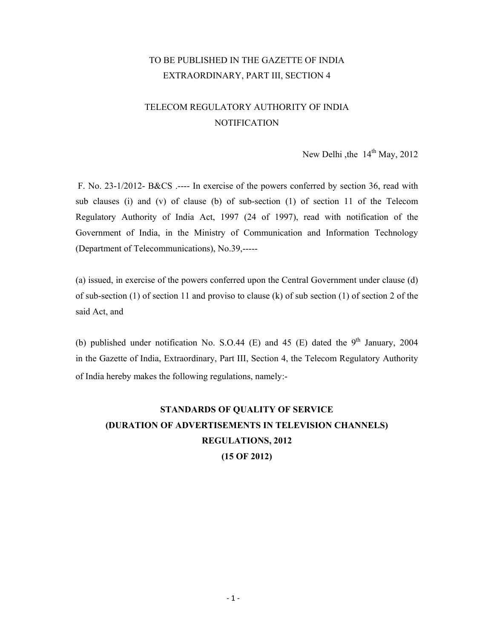## TO BE PUBLISHED IN THE GAZETTE OF INDIA EXTRAORDINARY, PART III, SECTION 4

# TELECOM REGULATORY AUTHORITY OF INDIA NOTIFICATION

New Delhi , the  $14<sup>th</sup>$  May, 2012

 F. No. 23-1/2012- B&CS .---- In exercise of the powers conferred by section 36, read with sub clauses (i) and (v) of clause (b) of sub-section (1) of section 11 of the Telecom Regulatory Authority of India Act, 1997 (24 of 1997), read with notification of the Government of India, in the Ministry of Communication and Information Technology (Department of Telecommunications), No.39,-----

(a) issued, in exercise of the powers conferred upon the Central Government under clause (d) of sub-section (1) of section 11 and proviso to clause (k) of sub section (1) of section 2 of the said Act, and

(b) published under notification No. S.O.44 (E) and 45 (E) dated the  $9<sup>th</sup>$  January, 2004 in the Gazette of India, Extraordinary, Part III, Section 4, the Telecom Regulatory Authority of India hereby makes the following regulations, namely:-

# **STANDARDS OF QUALITY OF SERVICE (DURATION OF ADVERTISEMENTS IN TELEVISION CHANNELS) REGULATIONS, 2012 (15 OF 2012)**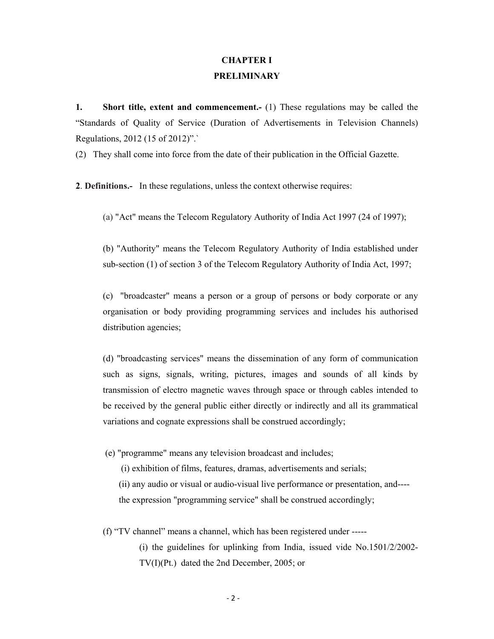## **CHAPTER I PRELIMINARY**

**1.** Short title, extent and commencement. (1) These regulations may be called the "Standards of Quality of Service (Duration of Advertisements in Television Channels) Regulations, 2012 (15 of 2012)".`

(2) They shall come into force from the date of their publication in the Official Gazette.

**2**. **Definitions.-** In these regulations, unless the context otherwise requires:

(a) "Act" means the Telecom Regulatory Authority of India Act 1997 (24 of 1997);

(b) "Authority" means the Telecom Regulatory Authority of India established under sub-section (1) of section 3 of the Telecom Regulatory Authority of India Act, 1997;

(c) "broadcaster" means a person or a group of persons or body corporate or any organisation or body providing programming services and includes his authorised distribution agencies;

(d) "broadcasting services" means the dissemination of any form of communication such as signs, signals, writing, pictures, images and sounds of all kinds by transmission of electro magnetic waves through space or through cables intended to be received by the general public either directly or indirectly and all its grammatical variations and cognate expressions shall be construed accordingly;

(e) "programme" means any television broadcast and includes;

(i) exhibition of films, features, dramas, advertisements and serials;

 (ii) any audio or visual or audio-visual live performance or presentation, and--- the expression "programming service" shall be construed accordingly;

(f) "TV channel" means a channel, which has been registered under -----

(i) the guidelines for uplinking from India, issued vide No.1501/2/2002- TV(I)(Pt.) dated the 2nd December, 2005; or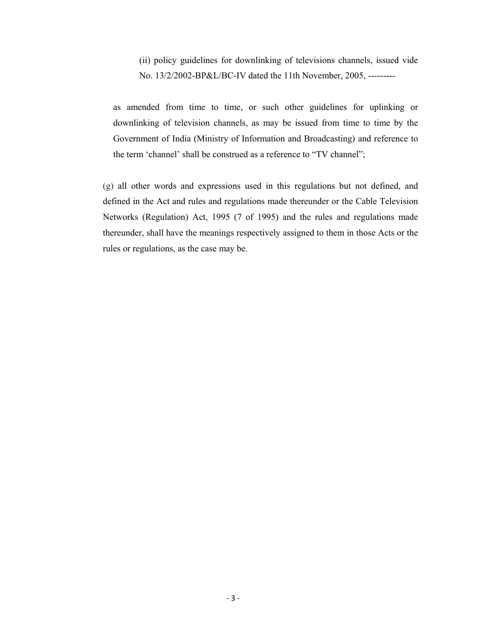(ii) policy guidelines for downlinking of televisions channels, issued vide No. 13/2/2002-BP&L/BC-IV dated the 11th November, 2005, ---------

as amended from time to time, or such other guidelines for uplinking or downlinking of television channels, as may be issued from time to time by the Government of India (Ministry of Information and Broadcasting) and reference to the term 'channel' shall be construed as a reference to "TV channel";

(g) all other words and expressions used in this regulations but not defined, and defined in the Act and rules and regulations made thereunder or the Cable Television Networks (Regulation) Act, 1995 (7 of 1995) and the rules and regulations made thereunder, shall have the meanings respectively assigned to them in those Acts or the rules or regulations, as the case may be.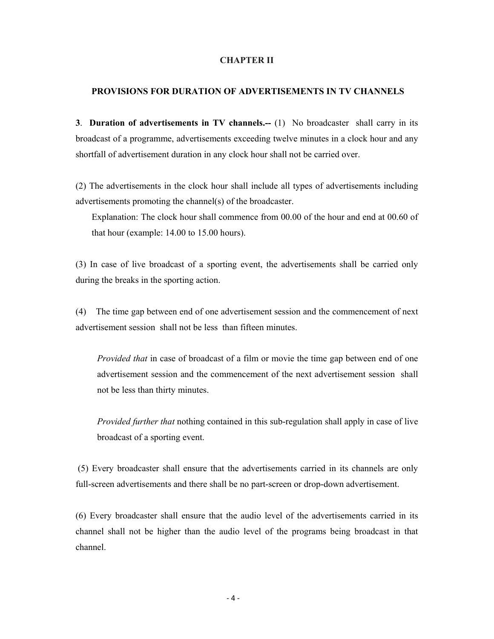#### **CHAPTER II**

#### **PROVISIONS FOR DURATION OF ADVERTISEMENTS IN TV CHANNELS**

**3**. **Duration of advertisements in TV channels.--** (1) No broadcaster shall carry in its broadcast of a programme, advertisements exceeding twelve minutes in a clock hour and any shortfall of advertisement duration in any clock hour shall not be carried over.

(2) The advertisements in the clock hour shall include all types of advertisements including advertisements promoting the channel(s) of the broadcaster.

Explanation: The clock hour shall commence from 00.00 of the hour and end at 00.60 of that hour (example: 14.00 to 15.00 hours).

(3) In case of live broadcast of a sporting event, the advertisements shall be carried only during the breaks in the sporting action.

(4) The time gap between end of one advertisement session and the commencement of next advertisement session shall not be less than fifteen minutes.

*Provided that* in case of broadcast of a film or movie the time gap between end of one advertisement session and the commencement of the next advertisement session shall not be less than thirty minutes.

*Provided further that* nothing contained in this sub-regulation shall apply in case of live broadcast of a sporting event.

 (5) Every broadcaster shall ensure that the advertisements carried in its channels are only full-screen advertisements and there shall be no part-screen or drop-down advertisement.

(6) Every broadcaster shall ensure that the audio level of the advertisements carried in its channel shall not be higher than the audio level of the programs being broadcast in that channel.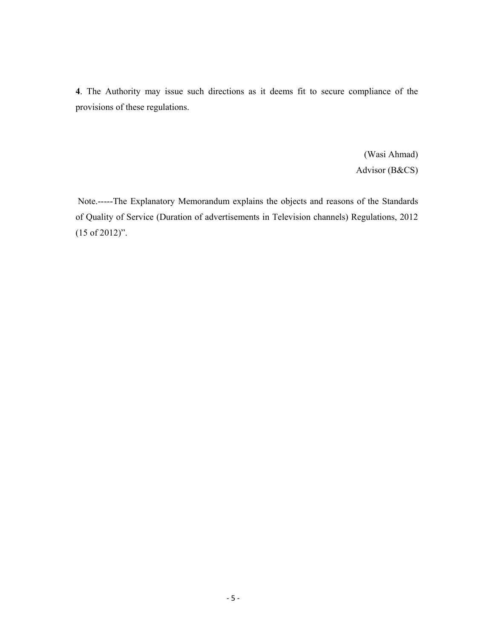**4**. The Authority may issue such directions as it deems fit to secure compliance of the provisions of these regulations.

> (Wasi Ahmad) Advisor (B&CS)

 Note.-----The Explanatory Memorandum explains the objects and reasons of the Standards of Quality of Service (Duration of advertisements in Television channels) Regulations, 2012 (15 of 2012)".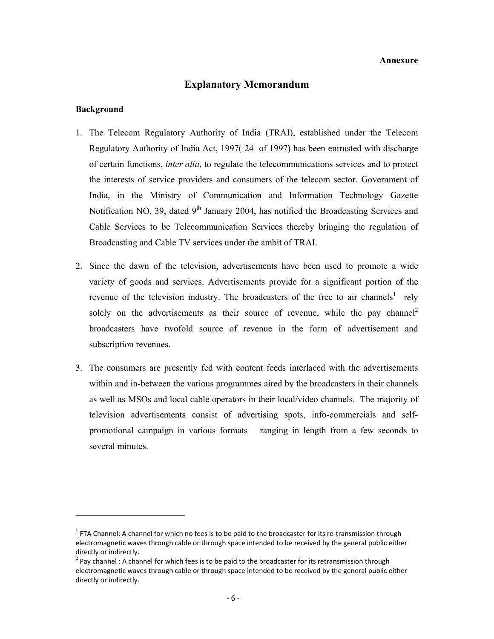#### **Annexure**

## **Explanatory Memorandum**

#### **Background**

- 1. The Telecom Regulatory Authority of India (TRAI), established under the Telecom Regulatory Authority of India Act, 1997( 24 of 1997) has been entrusted with discharge of certain functions, *inter alia*, to regulate the telecommunications services and to protect the interests of service providers and consumers of the telecom sector. Government of India, in the Ministry of Communication and Information Technology Gazette Notification NO. 39, dated 9<sup>th</sup> January 2004, has notified the Broadcasting Services and Cable Services to be Telecommunication Services thereby bringing the regulation of Broadcasting and Cable TV services under the ambit of TRAI.
- 2. Since the dawn of the television, advertisements have been used to promote a wide variety of goods and services. Advertisements provide for a significant portion of the revenue of the television industry. The broadcasters of the free to air channels<sup>1</sup> rely solely on the advertisements as their source of revenue, while the pay channel<sup>2</sup> broadcasters have twofold source of revenue in the form of advertisement and subscription revenues.
- 3. The consumers are presently fed with content feeds interlaced with the advertisements within and in-between the various programmes aired by the broadcasters in their channels as well as MSOs and local cable operators in their local/video channels. The majority of television advertisements consist of advertising spots, info-commercials and selfpromotional campaign in various formats ranging in length from a few seconds to several minutes.

 $1$  FTA Channel: A channel for which no fees is to be paid to the broadcaster for its re-transmission through electromagnetic waves through cable or through space intended to be received by the general public either directly or indirectly.<br><sup>2</sup> Pay channel: A channel for which fees is to be paid to the broadcaster for its retransmission through

electromagnetic waves through cable or through space intended to be received by the general public either directly or indirectly.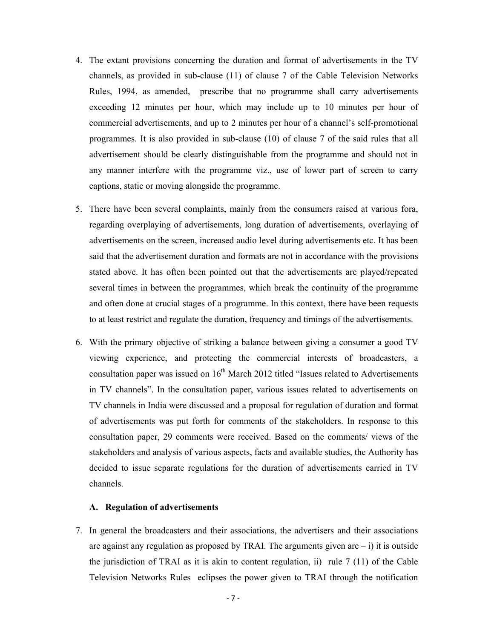- 4. The extant provisions concerning the duration and format of advertisements in the TV channels, as provided in sub-clause (11) of clause 7 of the Cable Television Networks Rules, 1994, as amended, prescribe that no programme shall carry advertisements exceeding 12 minutes per hour, which may include up to 10 minutes per hour of commercial advertisements, and up to 2 minutes per hour of a channel's self-promotional programmes. It is also provided in sub-clause (10) of clause 7 of the said rules that all advertisement should be clearly distinguishable from the programme and should not in any manner interfere with the programme viz., use of lower part of screen to carry captions, static or moving alongside the programme.
- 5. There have been several complaints, mainly from the consumers raised at various fora, regarding overplaying of advertisements, long duration of advertisements, overlaying of advertisements on the screen, increased audio level during advertisements etc. It has been said that the advertisement duration and formats are not in accordance with the provisions stated above. It has often been pointed out that the advertisements are played/repeated several times in between the programmes, which break the continuity of the programme and often done at crucial stages of a programme. In this context, there have been requests to at least restrict and regulate the duration, frequency and timings of the advertisements.
- 6. With the primary objective of striking a balance between giving a consumer a good TV viewing experience, and protecting the commercial interests of broadcasters, a consultation paper was issued on  $16<sup>th</sup>$  March 2012 titled "Issues related to Advertisements" in TV channels". In the consultation paper, various issues related to advertisements on TV channels in India were discussed and a proposal for regulation of duration and format of advertisements was put forth for comments of the stakeholders. In response to this consultation paper, 29 comments were received. Based on the comments/ views of the stakeholders and analysis of various aspects, facts and available studies, the Authority has decided to issue separate regulations for the duration of advertisements carried in TV channels.

#### **A. Regulation of advertisements**

7. In general the broadcasters and their associations, the advertisers and their associations are against any regulation as proposed by TRAI. The arguments given are  $- i$ ) it is outside the jurisdiction of TRAI as it is akin to content regulation, ii) rule  $7(11)$  of the Cable Television Networks Rules eclipses the power given to TRAI through the notification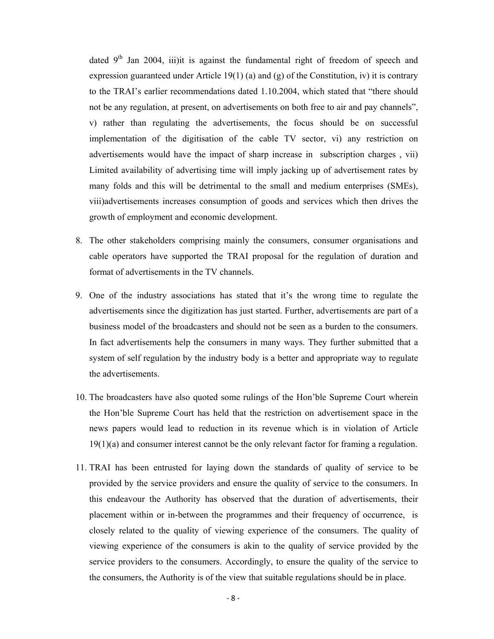dated  $9<sup>th</sup>$  Jan 2004, iii)it is against the fundamental right of freedom of speech and expression guaranteed under Article 19(1) (a) and (g) of the Constitution, iv) it is contrary to the TRAI's earlier recommendations dated 1.10.2004, which stated that "there should not be any regulation, at present, on advertisements on both free to air and pay channels", v) rather than regulating the advertisements, the focus should be on successful implementation of the digitisation of the cable TV sector, vi) any restriction on advertisements would have the impact of sharp increase in subscription charges , vii) Limited availability of advertising time will imply jacking up of advertisement rates by many folds and this will be detrimental to the small and medium enterprises (SMEs), viii)advertisements increases consumption of goods and services which then drives the growth of employment and economic development.

- 8. The other stakeholders comprising mainly the consumers, consumer organisations and cable operators have supported the TRAI proposal for the regulation of duration and format of advertisements in the TV channels.
- 9. One of the industry associations has stated that it's the wrong time to regulate the advertisements since the digitization has just started. Further, advertisements are part of a business model of the broadcasters and should not be seen as a burden to the consumers. In fact advertisements help the consumers in many ways. They further submitted that a system of self regulation by the industry body is a better and appropriate way to regulate the advertisements.
- 10. The broadcasters have also quoted some rulings of the Hon'ble Supreme Court wherein the Hon'ble Supreme Court has held that the restriction on advertisement space in the news papers would lead to reduction in its revenue which is in violation of Article 19(1)(a) and consumer interest cannot be the only relevant factor for framing a regulation.
- 11. TRAI has been entrusted for laying down the standards of quality of service to be provided by the service providers and ensure the quality of service to the consumers. In this endeavour the Authority has observed that the duration of advertisements, their placement within or in-between the programmes and their frequency of occurrence, is closely related to the quality of viewing experience of the consumers. The quality of viewing experience of the consumers is akin to the quality of service provided by the service providers to the consumers. Accordingly, to ensure the quality of the service to the consumers, the Authority is of the view that suitable regulations should be in place.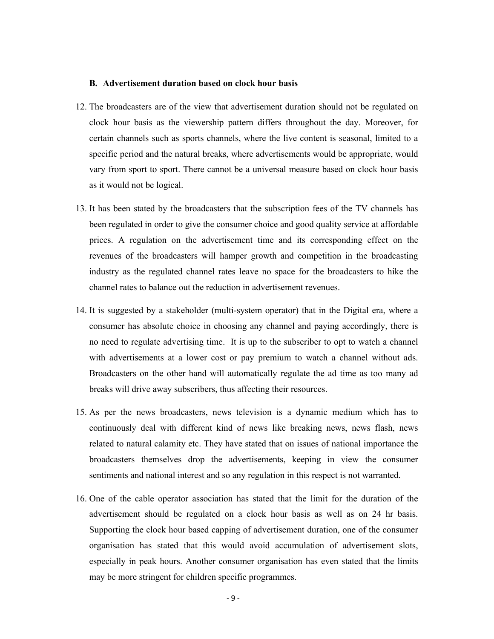#### **B. Advertisement duration based on clock hour basis**

- 12. The broadcasters are of the view that advertisement duration should not be regulated on clock hour basis as the viewership pattern differs throughout the day. Moreover, for certain channels such as sports channels, where the live content is seasonal, limited to a specific period and the natural breaks, where advertisements would be appropriate, would vary from sport to sport. There cannot be a universal measure based on clock hour basis as it would not be logical.
- 13. It has been stated by the broadcasters that the subscription fees of the TV channels has been regulated in order to give the consumer choice and good quality service at affordable prices. A regulation on the advertisement time and its corresponding effect on the revenues of the broadcasters will hamper growth and competition in the broadcasting industry as the regulated channel rates leave no space for the broadcasters to hike the channel rates to balance out the reduction in advertisement revenues.
- 14. It is suggested by a stakeholder (multi-system operator) that in the Digital era, where a consumer has absolute choice in choosing any channel and paying accordingly, there is no need to regulate advertising time. It is up to the subscriber to opt to watch a channel with advertisements at a lower cost or pay premium to watch a channel without ads. Broadcasters on the other hand will automatically regulate the ad time as too many ad breaks will drive away subscribers, thus affecting their resources.
- 15. As per the news broadcasters, news television is a dynamic medium which has to continuously deal with different kind of news like breaking news, news flash, news related to natural calamity etc. They have stated that on issues of national importance the broadcasters themselves drop the advertisements, keeping in view the consumer sentiments and national interest and so any regulation in this respect is not warranted.
- 16. One of the cable operator association has stated that the limit for the duration of the advertisement should be regulated on a clock hour basis as well as on 24 hr basis. Supporting the clock hour based capping of advertisement duration, one of the consumer organisation has stated that this would avoid accumulation of advertisement slots, especially in peak hours. Another consumer organisation has even stated that the limits may be more stringent for children specific programmes.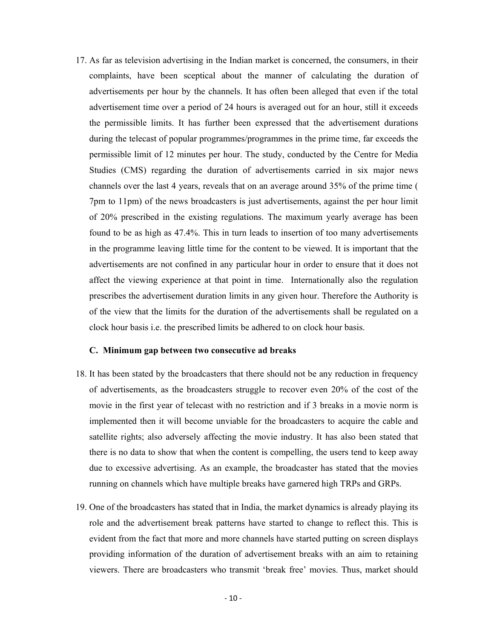17. As far as television advertising in the Indian market is concerned, the consumers, in their complaints, have been sceptical about the manner of calculating the duration of advertisements per hour by the channels. It has often been alleged that even if the total advertisement time over a period of 24 hours is averaged out for an hour, still it exceeds the permissible limits. It has further been expressed that the advertisement durations during the telecast of popular programmes/programmes in the prime time, far exceeds the permissible limit of 12 minutes per hour. The study, conducted by the Centre for Media Studies (CMS) regarding the duration of advertisements carried in six major news channels over the last 4 years, reveals that on an average around 35% of the prime time ( 7pm to 11pm) of the news broadcasters is just advertisements, against the per hour limit of 20% prescribed in the existing regulations. The maximum yearly average has been found to be as high as 47.4%. This in turn leads to insertion of too many advertisements in the programme leaving little time for the content to be viewed. It is important that the advertisements are not confined in any particular hour in order to ensure that it does not affect the viewing experience at that point in time. Internationally also the regulation prescribes the advertisement duration limits in any given hour. Therefore the Authority is of the view that the limits for the duration of the advertisements shall be regulated on a clock hour basis i.e. the prescribed limits be adhered to on clock hour basis.

#### **C. Minimum gap between two consecutive ad breaks**

- 18. It has been stated by the broadcasters that there should not be any reduction in frequency of advertisements, as the broadcasters struggle to recover even 20% of the cost of the movie in the first year of telecast with no restriction and if 3 breaks in a movie norm is implemented then it will become unviable for the broadcasters to acquire the cable and satellite rights; also adversely affecting the movie industry. It has also been stated that there is no data to show that when the content is compelling, the users tend to keep away due to excessive advertising. As an example, the broadcaster has stated that the movies running on channels which have multiple breaks have garnered high TRPs and GRPs.
- 19. One of the broadcasters has stated that in India, the market dynamics is already playing its role and the advertisement break patterns have started to change to reflect this. This is evident from the fact that more and more channels have started putting on screen displays providing information of the duration of advertisement breaks with an aim to retaining viewers. There are broadcasters who transmit 'break free' movies. Thus, market should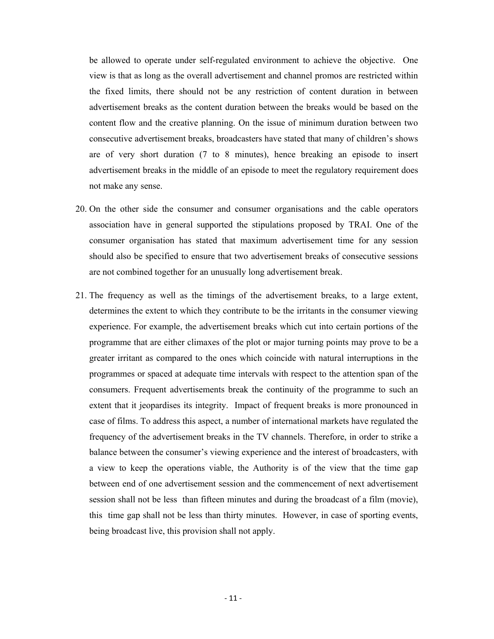be allowed to operate under self-regulated environment to achieve the objective. One view is that as long as the overall advertisement and channel promos are restricted within the fixed limits, there should not be any restriction of content duration in between advertisement breaks as the content duration between the breaks would be based on the content flow and the creative planning. On the issue of minimum duration between two consecutive advertisement breaks, broadcasters have stated that many of children's shows are of very short duration (7 to 8 minutes), hence breaking an episode to insert advertisement breaks in the middle of an episode to meet the regulatory requirement does not make any sense.

- 20. On the other side the consumer and consumer organisations and the cable operators association have in general supported the stipulations proposed by TRAI. One of the consumer organisation has stated that maximum advertisement time for any session should also be specified to ensure that two advertisement breaks of consecutive sessions are not combined together for an unusually long advertisement break.
- 21. The frequency as well as the timings of the advertisement breaks, to a large extent, determines the extent to which they contribute to be the irritants in the consumer viewing experience. For example, the advertisement breaks which cut into certain portions of the programme that are either climaxes of the plot or major turning points may prove to be a greater irritant as compared to the ones which coincide with natural interruptions in the programmes or spaced at adequate time intervals with respect to the attention span of the consumers. Frequent advertisements break the continuity of the programme to such an extent that it jeopardises its integrity. Impact of frequent breaks is more pronounced in case of films. To address this aspect, a number of international markets have regulated the frequency of the advertisement breaks in the TV channels. Therefore, in order to strike a balance between the consumer's viewing experience and the interest of broadcasters, with a view to keep the operations viable, the Authority is of the view that the time gap between end of one advertisement session and the commencement of next advertisement session shall not be less than fifteen minutes and during the broadcast of a film (movie), this time gap shall not be less than thirty minutes. However, in case of sporting events, being broadcast live, this provision shall not apply.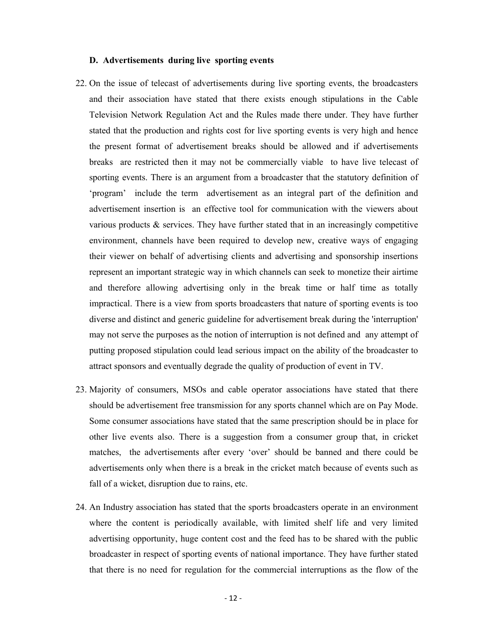#### **D. Advertisements during live sporting events**

- 22. On the issue of telecast of advertisements during live sporting events, the broadcasters and their association have stated that there exists enough stipulations in the Cable Television Network Regulation Act and the Rules made there under. They have further stated that the production and rights cost for live sporting events is very high and hence the present format of advertisement breaks should be allowed and if advertisements breaks are restricted then it may not be commercially viable to have live telecast of sporting events. There is an argument from a broadcaster that the statutory definition of 'program' include the term advertisement as an integral part of the definition and advertisement insertion is an effective tool for communication with the viewers about various products  $\&$  services. They have further stated that in an increasingly competitive environment, channels have been required to develop new, creative ways of engaging their viewer on behalf of advertising clients and advertising and sponsorship insertions represent an important strategic way in which channels can seek to monetize their airtime and therefore allowing advertising only in the break time or half time as totally impractical. There is a view from sports broadcasters that nature of sporting events is too diverse and distinct and generic guideline for advertisement break during the 'interruption' may not serve the purposes as the notion of interruption is not defined and any attempt of putting proposed stipulation could lead serious impact on the ability of the broadcaster to attract sponsors and eventually degrade the quality of production of event in TV.
- 23. Majority of consumers, MSOs and cable operator associations have stated that there should be advertisement free transmission for any sports channel which are on Pay Mode. Some consumer associations have stated that the same prescription should be in place for other live events also. There is a suggestion from a consumer group that, in cricket matches, the advertisements after every 'over' should be banned and there could be advertisements only when there is a break in the cricket match because of events such as fall of a wicket, disruption due to rains, etc.
- 24. An Industry association has stated that the sports broadcasters operate in an environment where the content is periodically available, with limited shelf life and very limited advertising opportunity, huge content cost and the feed has to be shared with the public broadcaster in respect of sporting events of national importance. They have further stated that there is no need for regulation for the commercial interruptions as the flow of the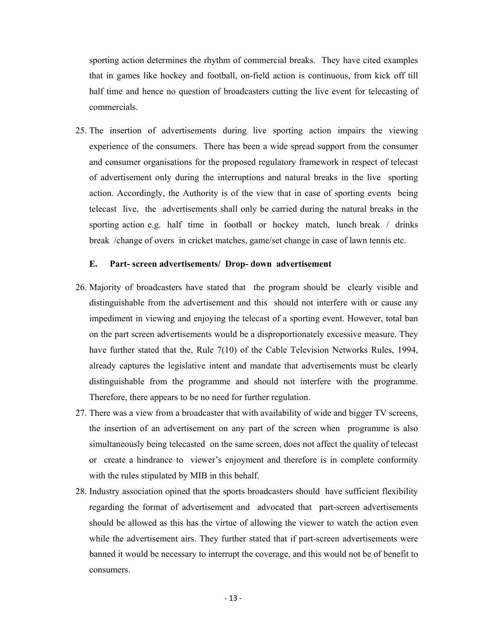sporting action determines the rhythm of commercial breaks. They have cited examples that in games like hockey and football, on-field action is continuous, from kick off till half time and hence no question of broadcasters cutting the live event for telecasting of commercials.

25. The insertion of advertisements during live sporting action impairs the viewing experience of the consumers. There has been a wide spread support from the consumer and consumer organisations for the proposed regulatory framework in respect of telecast of advertisement only during the interruptions and natural breaks in the live sporting action. Accordingly, the Authority is of the view that in case of sporting events being telecast live, the advertisements shall only be carried during the natural breaks in the sporting action e.g. half time in football or hockey match, lunch break / drinks break /change of overs in cricket matches, game/set change in case of lawn tennis etc.

#### **E. Part- screen advertisements/ Drop- down advertisement**

- 26. Majority of broadcasters have stated that the program should be clearly visible and distinguishable from the advertisement and this should not interfere with or cause any impediment in viewing and enjoying the telecast of a sporting event. However, total ban on the part screen advertisements would be a disproportionately excessive measure. They have further stated that the, Rule 7(10) of the Cable Television Networks Rules, 1994, already captures the legislative intent and mandate that advertisements must be clearly distinguishable from the programme and should not interfere with the programme. Therefore, there appears to be no need for further regulation.
- 27. There was a view from a broadcaster that with availability of wide and bigger TV screens, the insertion of an advertisement on any part of the screen when programme is also simultaneously being telecasted on the same screen, does not affect the quality of telecast or create a hindrance to viewer's enjoyment and therefore is in complete conformity with the rules stipulated by MIB in this behalf.
- 28. Industry association opined that the sports broadcasters should have sufficient flexibility regarding the format of advertisement and advocated that part-screen advertisements should be allowed as this has the virtue of allowing the viewer to watch the action even while the advertisement airs. They further stated that if part-screen advertisements were banned it would be necessary to interrupt the coverage, and this would not be of benefit to consumers.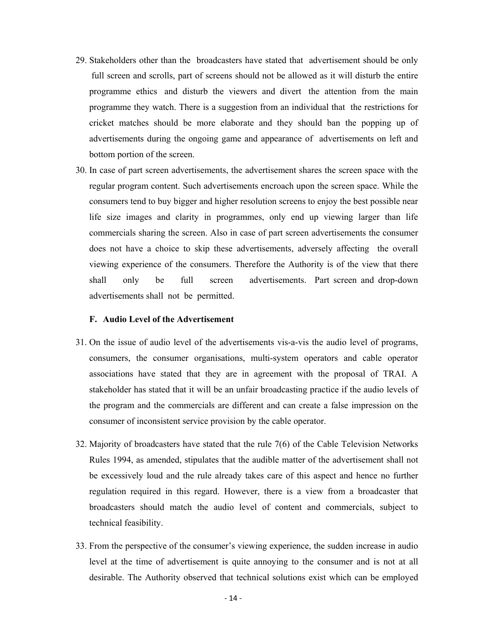- 29. Stakeholders other than the broadcasters have stated that advertisement should be only full screen and scrolls, part of screens should not be allowed as it will disturb the entire programme ethics and disturb the viewers and divert the attention from the main programme they watch. There is a suggestion from an individual that the restrictions for cricket matches should be more elaborate and they should ban the popping up of advertisements during the ongoing game and appearance of advertisements on left and bottom portion of the screen.
- 30. In case of part screen advertisements, the advertisement shares the screen space with the regular program content. Such advertisements encroach upon the screen space. While the consumers tend to buy bigger and higher resolution screens to enjoy the best possible near life size images and clarity in programmes, only end up viewing larger than life commercials sharing the screen. Also in case of part screen advertisements the consumer does not have a choice to skip these advertisements, adversely affecting the overall viewing experience of the consumers. Therefore the Authority is of the view that there shall only be full screen advertisements. Part screen and drop-down advertisements shall not be permitted.

## **F. Audio Level of the Advertisement**

- 31. On the issue of audio level of the advertisements vis-a-vis the audio level of programs, consumers, the consumer organisations, multi-system operators and cable operator associations have stated that they are in agreement with the proposal of TRAI. A stakeholder has stated that it will be an unfair broadcasting practice if the audio levels of the program and the commercials are different and can create a false impression on the consumer of inconsistent service provision by the cable operator.
- 32. Majority of broadcasters have stated that the rule 7(6) of the Cable Television Networks Rules 1994, as amended, stipulates that the audible matter of the advertisement shall not be excessively loud and the rule already takes care of this aspect and hence no further regulation required in this regard. However, there is a view from a broadcaster that broadcasters should match the audio level of content and commercials, subject to technical feasibility.
- 33. From the perspective of the consumer's viewing experience, the sudden increase in audio level at the time of advertisement is quite annoying to the consumer and is not at all desirable. The Authority observed that technical solutions exist which can be employed